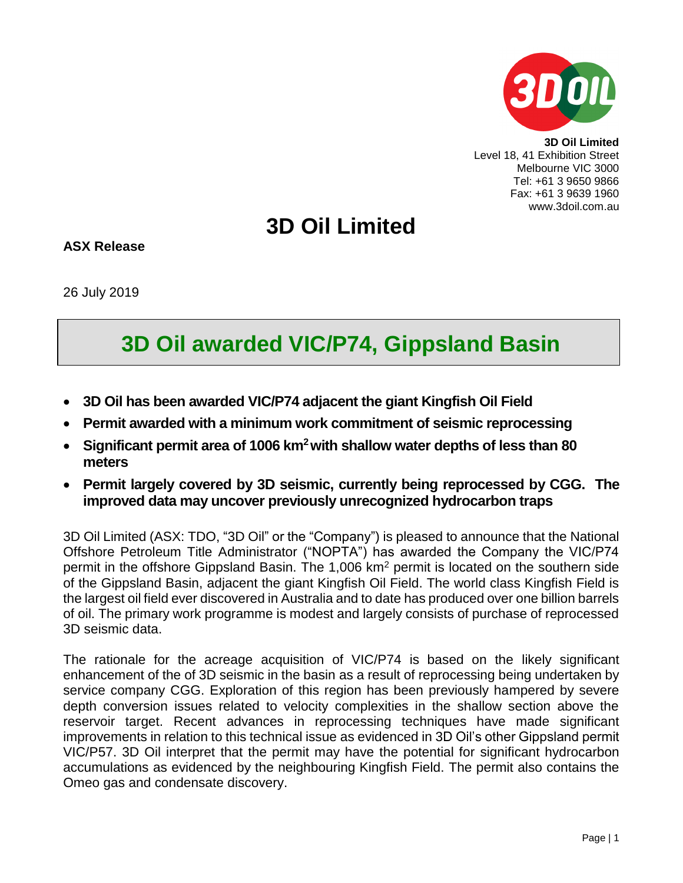

**3D Oil Limited** Level 18, 41 Exhibition Street Melbourne VIC 3000 Tel: +61 3 9650 9866 Fax: +61 3 9639 1960 www.3doil.com.au

## **3D Oil Limited**

**ASX Release**

26 July 2019

## **3D Oil awarded VIC/P74, Gippsland Basin**

- **3D Oil has been awarded VIC/P74 adjacent the giant Kingfish Oil Field**
- **Permit awarded with a minimum work commitment of seismic reprocessing**
- **Significant permit area of 1006 km<sup>2</sup>with shallow water depths of less than 80 meters**
- **Permit largely covered by 3D seismic, currently being reprocessed by CGG. The improved data may uncover previously unrecognized hydrocarbon traps**

3D Oil Limited (ASX: TDO, "3D Oil" or the "Company") is pleased to announce that the National Offshore Petroleum Title Administrator ("NOPTA") has awarded the Company the VIC/P74 permit in the offshore Gippsland Basin. The 1,006 km<sup>2</sup> permit is located on the southern side of the Gippsland Basin, adjacent the giant Kingfish Oil Field. The world class Kingfish Field is the largest oil field ever discovered in Australia and to date has produced over one billion barrels of oil. The primary work programme is modest and largely consists of purchase of reprocessed 3D seismic data.

The rationale for the acreage acquisition of VIC/P74 is based on the likely significant enhancement of the of 3D seismic in the basin as a result of reprocessing being undertaken by service company CGG. Exploration of this region has been previously hampered by severe depth conversion issues related to velocity complexities in the shallow section above the reservoir target. Recent advances in reprocessing techniques have made significant improvements in relation to this technical issue as evidenced in 3D Oil's other Gippsland permit VIC/P57. 3D Oil interpret that the permit may have the potential for significant hydrocarbon accumulations as evidenced by the neighbouring Kingfish Field. The permit also contains the Omeo gas and condensate discovery.